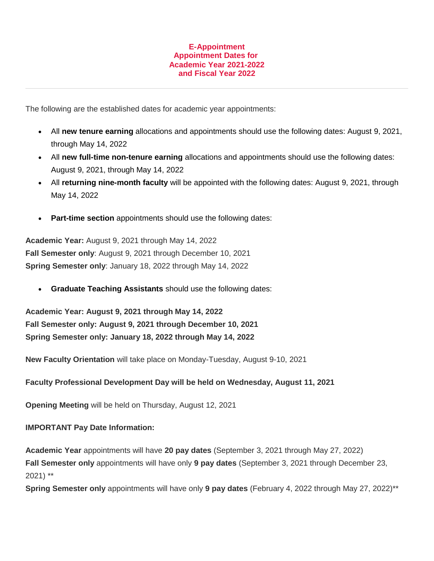## **E-Appointment Appointment Dates for Academic Year 2021-2022 and Fiscal Year 2022**

The following are the established dates for academic year appointments:

- All **new tenure earning** allocations and appointments should use the following dates: August 9, 2021, through May 14, 2022
- All **new full-time non-tenure earning** allocations and appointments should use the following dates: August 9, 2021, through May 14, 2022
- All **returning nine-month faculty** will be appointed with the following dates: August 9, 2021, through May 14, 2022
- **Part-time section** appointments should use the following dates:

**Academic Year:** August 9, 2021 through May 14, 2022 **Fall Semester only**: August 9, 2021 through December 10, 2021 **Spring Semester only**: January 18, 2022 through May 14, 2022

• **Graduate Teaching Assistants** should use the following dates:

**Academic Year: August 9, 2021 through May 14, 2022 Fall Semester only: August 9, 2021 through December 10, 2021 Spring Semester only: January 18, 2022 through May 14, 2022**

**New Faculty Orientation** will take place on Monday-Tuesday, August 9-10, 2021

## **Faculty Professional Development Day will be held on Wednesday, August 11, 2021**

**Opening Meeting** will be held on Thursday, August 12, 2021

## **IMPORTANT Pay Date Information:**

**Academic Year** appointments will have **20 pay dates** (September 3, 2021 through May 27, 2022) **Fall Semester only** appointments will have only **9 pay dates** (September 3, 2021 through December 23, 2021) \*\*

**Spring Semester only** appointments will have only **9 pay dates** (February 4, 2022 through May 27, 2022)\*\*